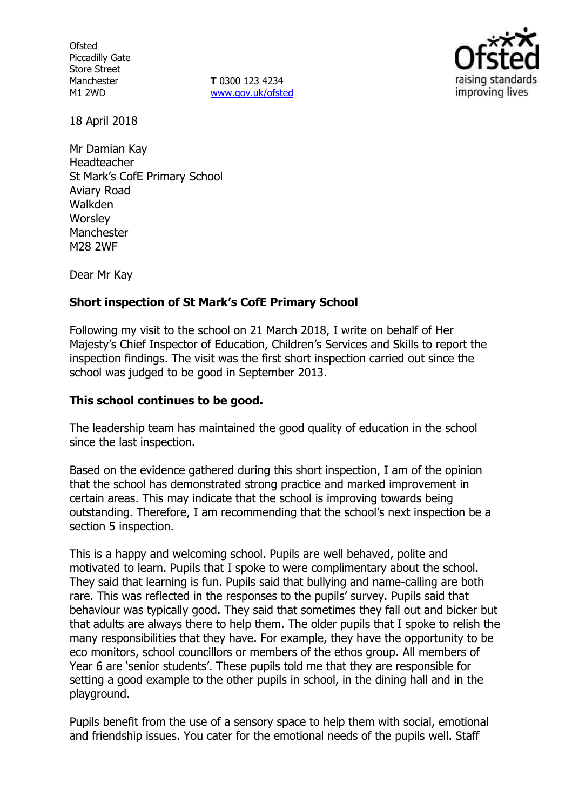**Ofsted** Piccadilly Gate Store Street Manchester M1 2WD

**T** 0300 123 4234 www.gov.uk/ofsted



18 April 2018

Mr Damian Kay Headteacher St Mark's CofE Primary School Aviary Road Walkden **Worsley** Manchester M28 2WF

Dear Mr Kay

## **Short inspection of St Mark's CofE Primary School**

Following my visit to the school on 21 March 2018, I write on behalf of Her Majesty's Chief Inspector of Education, Children's Services and Skills to report the inspection findings. The visit was the first short inspection carried out since the school was judged to be good in September 2013.

#### **This school continues to be good.**

The leadership team has maintained the good quality of education in the school since the last inspection.

Based on the evidence gathered during this short inspection, I am of the opinion that the school has demonstrated strong practice and marked improvement in certain areas. This may indicate that the school is improving towards being outstanding. Therefore, I am recommending that the school's next inspection be a section 5 inspection.

This is a happy and welcoming school. Pupils are well behaved, polite and motivated to learn. Pupils that I spoke to were complimentary about the school. They said that learning is fun. Pupils said that bullying and name-calling are both rare. This was reflected in the responses to the pupils' survey. Pupils said that behaviour was typically good. They said that sometimes they fall out and bicker but that adults are always there to help them. The older pupils that I spoke to relish the many responsibilities that they have. For example, they have the opportunity to be eco monitors, school councillors or members of the ethos group. All members of Year 6 are 'senior students'. These pupils told me that they are responsible for setting a good example to the other pupils in school, in the dining hall and in the playground.

Pupils benefit from the use of a sensory space to help them with social, emotional and friendship issues. You cater for the emotional needs of the pupils well. Staff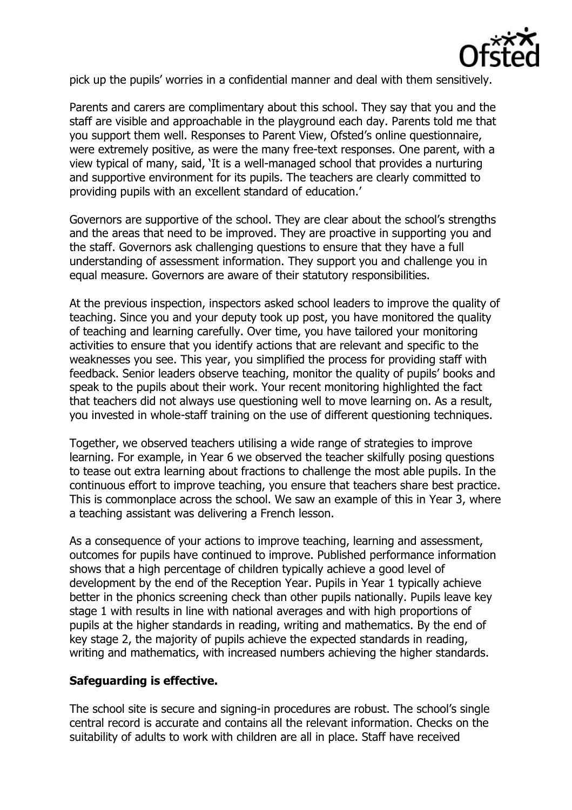

pick up the pupils' worries in a confidential manner and deal with them sensitively.

Parents and carers are complimentary about this school. They say that you and the staff are visible and approachable in the playground each day. Parents told me that you support them well. Responses to Parent View, Ofsted's online questionnaire, were extremely positive, as were the many free-text responses. One parent, with a view typical of many, said, 'It is a well-managed school that provides a nurturing and supportive environment for its pupils. The teachers are clearly committed to providing pupils with an excellent standard of education.'

Governors are supportive of the school. They are clear about the school's strengths and the areas that need to be improved. They are proactive in supporting you and the staff. Governors ask challenging questions to ensure that they have a full understanding of assessment information. They support you and challenge you in equal measure. Governors are aware of their statutory responsibilities.

At the previous inspection, inspectors asked school leaders to improve the quality of teaching. Since you and your deputy took up post, you have monitored the quality of teaching and learning carefully. Over time, you have tailored your monitoring activities to ensure that you identify actions that are relevant and specific to the weaknesses you see. This year, you simplified the process for providing staff with feedback. Senior leaders observe teaching, monitor the quality of pupils' books and speak to the pupils about their work. Your recent monitoring highlighted the fact that teachers did not always use questioning well to move learning on. As a result, you invested in whole-staff training on the use of different questioning techniques.

Together, we observed teachers utilising a wide range of strategies to improve learning. For example, in Year 6 we observed the teacher skilfully posing questions to tease out extra learning about fractions to challenge the most able pupils. In the continuous effort to improve teaching, you ensure that teachers share best practice. This is commonplace across the school. We saw an example of this in Year 3, where a teaching assistant was delivering a French lesson.

As a consequence of your actions to improve teaching, learning and assessment, outcomes for pupils have continued to improve. Published performance information shows that a high percentage of children typically achieve a good level of development by the end of the Reception Year. Pupils in Year 1 typically achieve better in the phonics screening check than other pupils nationally. Pupils leave key stage 1 with results in line with national averages and with high proportions of pupils at the higher standards in reading, writing and mathematics. By the end of key stage 2, the majority of pupils achieve the expected standards in reading, writing and mathematics, with increased numbers achieving the higher standards.

## **Safeguarding is effective.**

The school site is secure and signing-in procedures are robust. The school's single central record is accurate and contains all the relevant information. Checks on the suitability of adults to work with children are all in place. Staff have received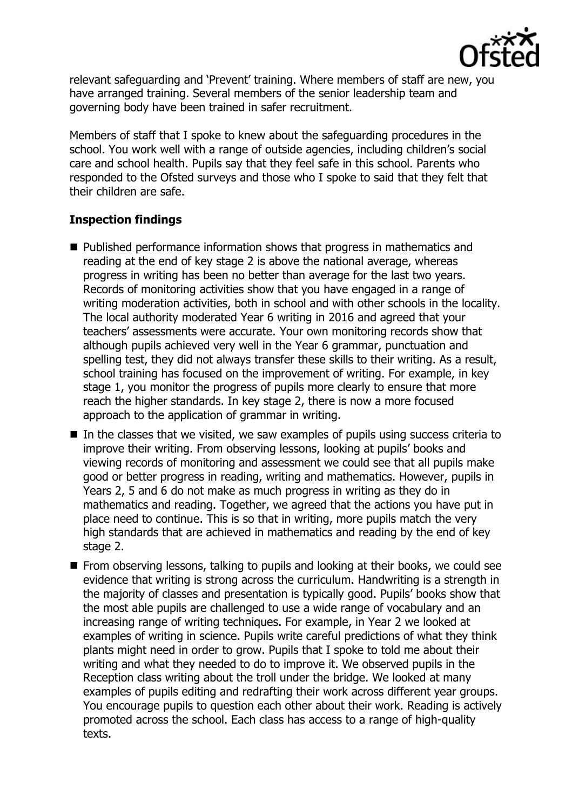

relevant safeguarding and 'Prevent' training. Where members of staff are new, you have arranged training. Several members of the senior leadership team and governing body have been trained in safer recruitment.

Members of staff that I spoke to knew about the safeguarding procedures in the school. You work well with a range of outside agencies, including children's social care and school health. Pupils say that they feel safe in this school. Parents who responded to the Ofsted surveys and those who I spoke to said that they felt that their children are safe.

# **Inspection findings**

- Published performance information shows that progress in mathematics and reading at the end of key stage 2 is above the national average, whereas progress in writing has been no better than average for the last two years. Records of monitoring activities show that you have engaged in a range of writing moderation activities, both in school and with other schools in the locality. The local authority moderated Year 6 writing in 2016 and agreed that your teachers' assessments were accurate. Your own monitoring records show that although pupils achieved very well in the Year 6 grammar, punctuation and spelling test, they did not always transfer these skills to their writing. As a result, school training has focused on the improvement of writing. For example, in key stage 1, you monitor the progress of pupils more clearly to ensure that more reach the higher standards. In key stage 2, there is now a more focused approach to the application of grammar in writing.
- $\blacksquare$  In the classes that we visited, we saw examples of pupils using success criteria to improve their writing. From observing lessons, looking at pupils' books and viewing records of monitoring and assessment we could see that all pupils make good or better progress in reading, writing and mathematics. However, pupils in Years 2, 5 and 6 do not make as much progress in writing as they do in mathematics and reading. Together, we agreed that the actions you have put in place need to continue. This is so that in writing, more pupils match the very high standards that are achieved in mathematics and reading by the end of key stage 2.
- **From observing lessons, talking to pupils and looking at their books, we could see** evidence that writing is strong across the curriculum. Handwriting is a strength in the majority of classes and presentation is typically good. Pupils' books show that the most able pupils are challenged to use a wide range of vocabulary and an increasing range of writing techniques. For example, in Year 2 we looked at examples of writing in science. Pupils write careful predictions of what they think plants might need in order to grow. Pupils that I spoke to told me about their writing and what they needed to do to improve it. We observed pupils in the Reception class writing about the troll under the bridge. We looked at many examples of pupils editing and redrafting their work across different year groups. You encourage pupils to question each other about their work. Reading is actively promoted across the school. Each class has access to a range of high-quality texts.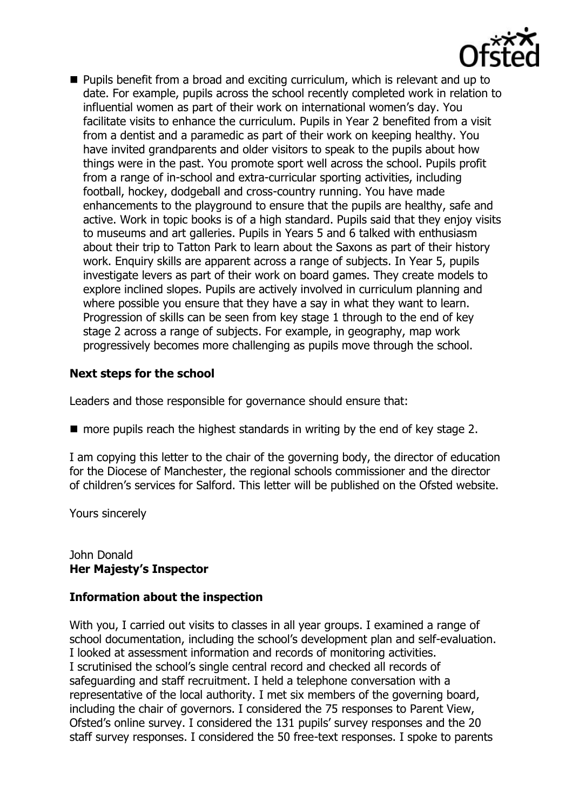

**Pupils benefit from a broad and exciting curriculum, which is relevant and up to** date. For example, pupils across the school recently completed work in relation to influential women as part of their work on international women's day. You facilitate visits to enhance the curriculum. Pupils in Year 2 benefited from a visit from a dentist and a paramedic as part of their work on keeping healthy. You have invited grandparents and older visitors to speak to the pupils about how things were in the past. You promote sport well across the school. Pupils profit from a range of in-school and extra-curricular sporting activities, including football, hockey, dodgeball and cross-country running. You have made enhancements to the playground to ensure that the pupils are healthy, safe and active. Work in topic books is of a high standard. Pupils said that they enjoy visits to museums and art galleries. Pupils in Years 5 and 6 talked with enthusiasm about their trip to Tatton Park to learn about the Saxons as part of their history work. Enquiry skills are apparent across a range of subjects. In Year 5, pupils investigate levers as part of their work on board games. They create models to explore inclined slopes. Pupils are actively involved in curriculum planning and where possible you ensure that they have a say in what they want to learn. Progression of skills can be seen from key stage 1 through to the end of key stage 2 across a range of subjects. For example, in geography, map work progressively becomes more challenging as pupils move through the school.

# **Next steps for the school**

Leaders and those responsible for governance should ensure that:

 $\blacksquare$  more pupils reach the highest standards in writing by the end of key stage 2.

I am copying this letter to the chair of the governing body, the director of education for the Diocese of Manchester, the regional schools commissioner and the director of children's services for Salford. This letter will be published on the Ofsted website.

Yours sincerely

#### John Donald **Her Majesty's Inspector**

## **Information about the inspection**

With you, I carried out visits to classes in all year groups. I examined a range of school documentation, including the school's development plan and self-evaluation. I looked at assessment information and records of monitoring activities. I scrutinised the school's single central record and checked all records of safeguarding and staff recruitment. I held a telephone conversation with a representative of the local authority. I met six members of the governing board, including the chair of governors. I considered the 75 responses to Parent View, Ofsted's online survey. I considered the 131 pupils' survey responses and the 20 staff survey responses. I considered the 50 free-text responses. I spoke to parents